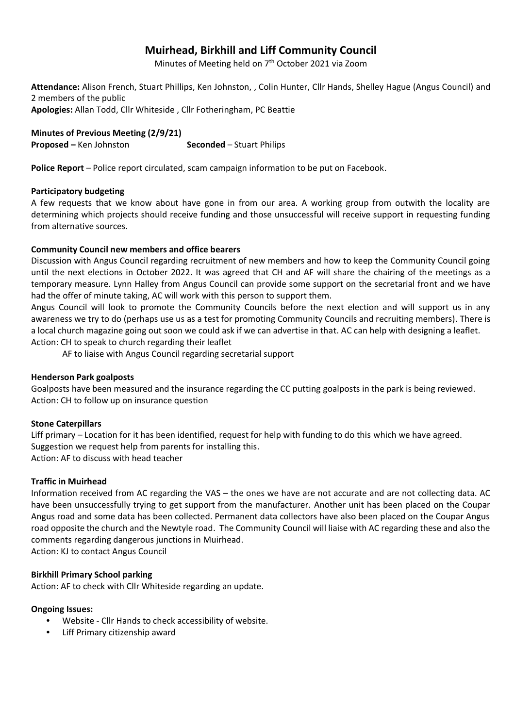# **Muirhead, Birkhill and Liff Community Council**

Minutes of Meeting held on 7<sup>th</sup> October 2021 via Zoom

**Attendance:** Alison French, Stuart Phillips, Ken Johnston, , Colin Hunter, Cllr Hands, Shelley Hague (Angus Council) and 2 members of the public **Apologies:** Allan Todd, Cllr Whiteside , Cllr Fotheringham, PC Beattie

**Minutes of Previous Meeting (2/9/21) Proposed –** Ken Johnston **Seconded** – Stuart Philips

**Police Report** – Police report circulated, scam campaign information to be put on Facebook.

### **Participatory budgeting**

A few requests that we know about have gone in from our area. A working group from outwith the locality are determining which projects should receive funding and those unsuccessful will receive support in requesting funding from alternative sources.

### **Community Council new members and office bearers**

Discussion with Angus Council regarding recruitment of new members and how to keep the Community Council going until the next elections in October 2022. It was agreed that CH and AF will share the chairing of the meetings as a temporary measure. Lynn Halley from Angus Council can provide some support on the secretarial front and we have had the offer of minute taking, AC will work with this person to support them.

Angus Council will look to promote the Community Councils before the next election and will support us in any awareness we try to do (perhaps use us as a test for promoting Community Councils and recruiting members). There is a local church magazine going out soon we could ask if we can advertise in that. AC can help with designing a leaflet. Action: CH to speak to church regarding their leaflet

AF to liaise with Angus Council regarding secretarial support

### **Henderson Park goalposts**

Goalposts have been measured and the insurance regarding the CC putting goalposts in the park is being reviewed. Action: CH to follow up on insurance question

### **Stone Caterpillars**

Liff primary – Location for it has been identified, request for help with funding to do this which we have agreed. Suggestion we request help from parents for installing this. Action: AF to discuss with head teacher

### **Traffic in Muirhead**

Information received from AC regarding the VAS – the ones we have are not accurate and are not collecting data. AC have been unsuccessfully trying to get support from the manufacturer. Another unit has been placed on the Coupar Angus road and some data has been collected. Permanent data collectors have also been placed on the Coupar Angus road opposite the church and the Newtyle road. The Community Council will liaise with AC regarding these and also the comments regarding dangerous junctions in Muirhead.

Action: KJ to contact Angus Council

## **Birkhill Primary School parking**

Action: AF to check with Cllr Whiteside regarding an update.

### **Ongoing Issues:**

- Website Cllr Hands to check accessibility of website.
- Liff Primary citizenship award